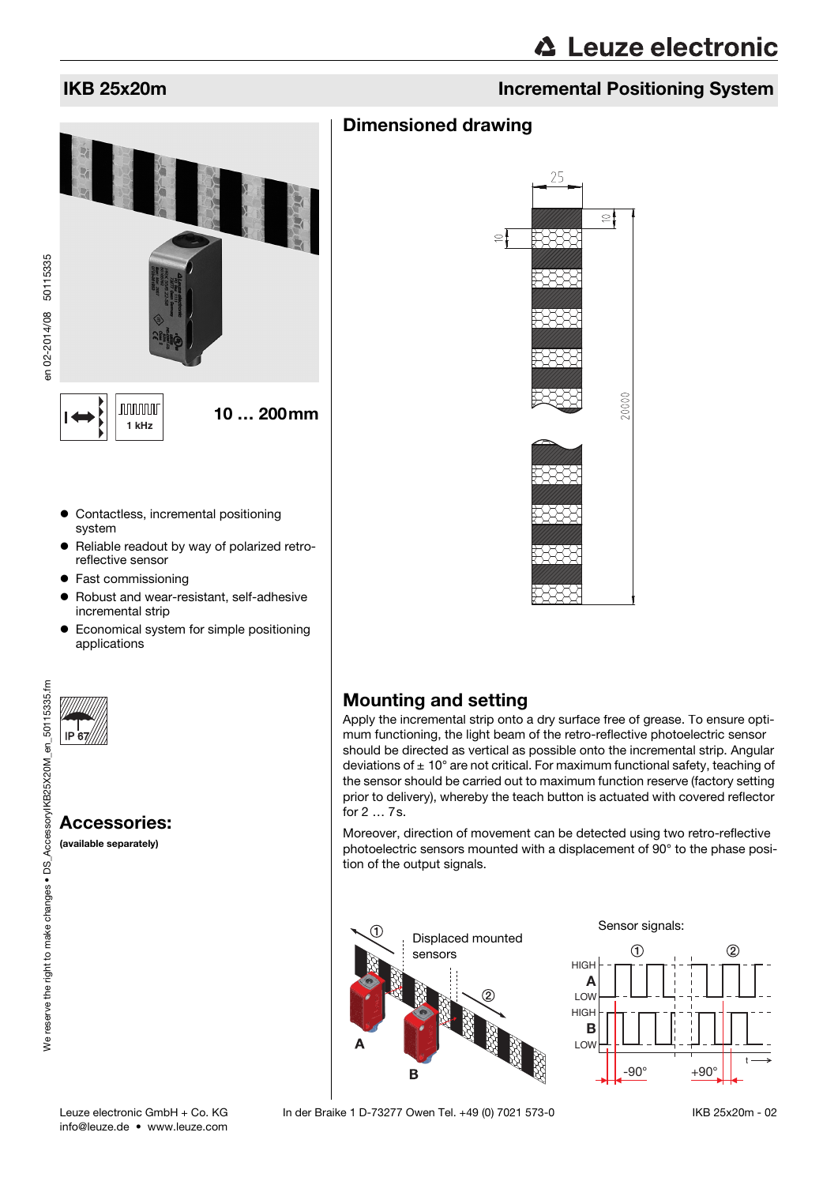# **∆ Leuze electronic**

### IKB 25x20m Incremental Positioning System

### Dimensioned drawing



- Contactless, incremental positioning system
- Reliable readout by way of polarized retroreflective sensor
- Fast commissioning
- Robust and wear-resistant, self-adhesive incremental strip
- Economical system for simple positioning applications



## Accessories:

(available separately)



### Mounting and setting

Apply the incremental strip onto a dry surface free of grease. To ensure optimum functioning, the light beam of the retro-reflective photoelectric sensor should be directed as vertical as possible onto the incremental strip. Angular deviations of  $\pm 10^{\circ}$  are not critical. For maximum functional safety, teaching of the sensor should be carried out to maximum function reserve (factory setting prior to delivery), whereby the teach button is actuated with covered reflector for 2 … 7s.

Moreover, direction of movement can be detected using two retro-reflective photoelectric sensors mounted with a displacement of 90° to the phase position of the output signals.



Sensor signals: